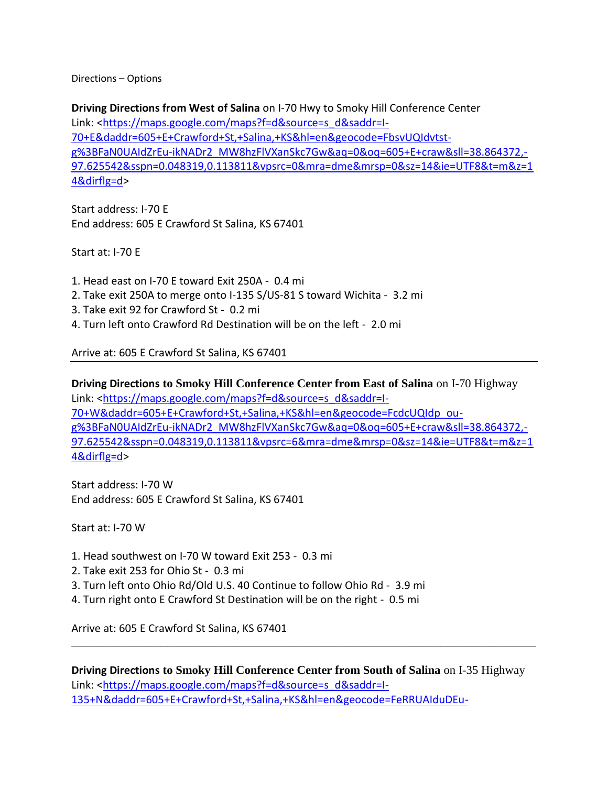## Directions – Options

**Driving Directions from West of Salina** on I-70 Hwy to Smoky Hill Conference Center Link: [<https://maps.google.com/maps?f=d&source=s\\_d&saddr=I-](https://maps.google.com/maps?f=d&source=s_d&saddr=I-70+E&daddr=605+E+Crawford+St,+Salina,+KS&hl=en&geocode=FbsvUQIdvtst-g%3BFaN0UAIdZrEu-ikNADr2_MW8hzFlVXanSkc7Gw&aq=0&oq=605+E+craw&sll=38.864372,-97.625542&sspn=0.048319,0.113811&vpsrc=0&mra=dme&mrsp=0&sz=14&ie=UTF8&t=m&z=14&dirflg=d)[70+E&daddr=605+E+Crawford+St,+Salina,+KS&hl=en&geocode=FbsvUQIdvtst](https://maps.google.com/maps?f=d&source=s_d&saddr=I-70+E&daddr=605+E+Crawford+St,+Salina,+KS&hl=en&geocode=FbsvUQIdvtst-g%3BFaN0UAIdZrEu-ikNADr2_MW8hzFlVXanSkc7Gw&aq=0&oq=605+E+craw&sll=38.864372,-97.625542&sspn=0.048319,0.113811&vpsrc=0&mra=dme&mrsp=0&sz=14&ie=UTF8&t=m&z=14&dirflg=d)[g%3BFaN0UAIdZrEu-ikNADr2\\_MW8hzFlVXanSkc7Gw&aq=0&oq=605+E+craw&sll=38.864372,-](https://maps.google.com/maps?f=d&source=s_d&saddr=I-70+E&daddr=605+E+Crawford+St,+Salina,+KS&hl=en&geocode=FbsvUQIdvtst-g%3BFaN0UAIdZrEu-ikNADr2_MW8hzFlVXanSkc7Gw&aq=0&oq=605+E+craw&sll=38.864372,-97.625542&sspn=0.048319,0.113811&vpsrc=0&mra=dme&mrsp=0&sz=14&ie=UTF8&t=m&z=14&dirflg=d) [97.625542&sspn=0.048319,0.113811&vpsrc=0&mra=dme&mrsp=0&sz=14&ie=UTF8&t=m&z=1](https://maps.google.com/maps?f=d&source=s_d&saddr=I-70+E&daddr=605+E+Crawford+St,+Salina,+KS&hl=en&geocode=FbsvUQIdvtst-g%3BFaN0UAIdZrEu-ikNADr2_MW8hzFlVXanSkc7Gw&aq=0&oq=605+E+craw&sll=38.864372,-97.625542&sspn=0.048319,0.113811&vpsrc=0&mra=dme&mrsp=0&sz=14&ie=UTF8&t=m&z=14&dirflg=d) [4&dirflg=d>](https://maps.google.com/maps?f=d&source=s_d&saddr=I-70+E&daddr=605+E+Crawford+St,+Salina,+KS&hl=en&geocode=FbsvUQIdvtst-g%3BFaN0UAIdZrEu-ikNADr2_MW8hzFlVXanSkc7Gw&aq=0&oq=605+E+craw&sll=38.864372,-97.625542&sspn=0.048319,0.113811&vpsrc=0&mra=dme&mrsp=0&sz=14&ie=UTF8&t=m&z=14&dirflg=d)

Start address: I-70 E End address: 605 E Crawford St Salina, KS 67401

Start at: I-70 E

- 1. Head east on I-70 E toward Exit 250A 0.4 mi
- 2. Take exit 250A to merge onto I-135 S/US-81 S toward Wichita 3.2 mi
- 3. Take exit 92 for Crawford St 0.2 mi
- 4. Turn left onto Crawford Rd Destination will be on the left 2.0 mi

Arrive at: 605 E Crawford St Salina, KS 67401

**Driving Directions to Smoky Hill Conference Center from East of Salina** on I-70 Highway Link: [<https://maps.google.com/maps?f=d&source=s\\_d&saddr=I-](https://maps.google.com/maps?f=d&source=s_d&saddr=I-70+W&daddr=605+E+Crawford+St,+Salina,+KS&hl=en&geocode=FcdcUQIdp_ou-g%3BFaN0UAIdZrEu-ikNADr2_MW8hzFlVXanSkc7Gw&aq=0&oq=605+E+craw&sll=38.864372,-97.625542&sspn=0.048319,0.113811&vpsrc=6&mra=dme&mrsp=0&sz=14&ie=UTF8&t=m&z=14&dirflg=d)[70+W&daddr=605+E+Crawford+St,+Salina,+KS&hl=en&geocode=FcdcUQIdp\\_ou](https://maps.google.com/maps?f=d&source=s_d&saddr=I-70+W&daddr=605+E+Crawford+St,+Salina,+KS&hl=en&geocode=FcdcUQIdp_ou-g%3BFaN0UAIdZrEu-ikNADr2_MW8hzFlVXanSkc7Gw&aq=0&oq=605+E+craw&sll=38.864372,-97.625542&sspn=0.048319,0.113811&vpsrc=6&mra=dme&mrsp=0&sz=14&ie=UTF8&t=m&z=14&dirflg=d)[g%3BFaN0UAIdZrEu-ikNADr2\\_MW8hzFlVXanSkc7Gw&aq=0&oq=605+E+craw&sll=38.864372,-](https://maps.google.com/maps?f=d&source=s_d&saddr=I-70+W&daddr=605+E+Crawford+St,+Salina,+KS&hl=en&geocode=FcdcUQIdp_ou-g%3BFaN0UAIdZrEu-ikNADr2_MW8hzFlVXanSkc7Gw&aq=0&oq=605+E+craw&sll=38.864372,-97.625542&sspn=0.048319,0.113811&vpsrc=6&mra=dme&mrsp=0&sz=14&ie=UTF8&t=m&z=14&dirflg=d) [97.625542&sspn=0.048319,0.113811&vpsrc=6&mra=dme&mrsp=0&sz=14&ie=UTF8&t=m&z=1](https://maps.google.com/maps?f=d&source=s_d&saddr=I-70+W&daddr=605+E+Crawford+St,+Salina,+KS&hl=en&geocode=FcdcUQIdp_ou-g%3BFaN0UAIdZrEu-ikNADr2_MW8hzFlVXanSkc7Gw&aq=0&oq=605+E+craw&sll=38.864372,-97.625542&sspn=0.048319,0.113811&vpsrc=6&mra=dme&mrsp=0&sz=14&ie=UTF8&t=m&z=14&dirflg=d) [4&dirflg=d>](https://maps.google.com/maps?f=d&source=s_d&saddr=I-70+W&daddr=605+E+Crawford+St,+Salina,+KS&hl=en&geocode=FcdcUQIdp_ou-g%3BFaN0UAIdZrEu-ikNADr2_MW8hzFlVXanSkc7Gw&aq=0&oq=605+E+craw&sll=38.864372,-97.625542&sspn=0.048319,0.113811&vpsrc=6&mra=dme&mrsp=0&sz=14&ie=UTF8&t=m&z=14&dirflg=d)

Start address: I-70 W End address: 605 E Crawford St Salina, KS 67401

Start at: I-70 W

- 1. Head southwest on I-70 W toward Exit 253 0.3 mi
- 2. Take exit 253 for Ohio St 0.3 mi
- 3. Turn left onto Ohio Rd/Old U.S. 40 Continue to follow Ohio Rd 3.9 mi
- 4. Turn right onto E Crawford St Destination will be on the right 0.5 mi

Arrive at: 605 E Crawford St Salina, KS 67401

**Driving Directions to Smoky Hill Conference Center from South of Salina** on I-35 Highway Link: [<https://maps.google.com/maps?f=d&source=s\\_d&saddr=I-](https://maps.google.com/maps?f=d&source=s_d&saddr=I-135+N&daddr=605+E+Crawford+St,+Salina,+KS&hl=en&geocode=FeRRUAIduDEu-g%3BFaN0UAIdZrEu-ikNADr2_MW8hzFlVXanSkc7Gw&aq=0&oq=I-135+N&sll=38.802091,-97.61024&sspn=0.096722,0.227623&vpsrc=0&mra=dme&mrsp=0&sz=13&ie=UTF8&t=m&z=13&dirflg=d)[135+N&daddr=605+E+Crawford+St,+Salina,+KS&hl=en&geocode=FeRRUAIduDEu-](https://maps.google.com/maps?f=d&source=s_d&saddr=I-135+N&daddr=605+E+Crawford+St,+Salina,+KS&hl=en&geocode=FeRRUAIduDEu-g%3BFaN0UAIdZrEu-ikNADr2_MW8hzFlVXanSkc7Gw&aq=0&oq=I-135+N&sll=38.802091,-97.61024&sspn=0.096722,0.227623&vpsrc=0&mra=dme&mrsp=0&sz=13&ie=UTF8&t=m&z=13&dirflg=d)

\_\_\_\_\_\_\_\_\_\_\_\_\_\_\_\_\_\_\_\_\_\_\_\_\_\_\_\_\_\_\_\_\_\_\_\_\_\_\_\_\_\_\_\_\_\_\_\_\_\_\_\_\_\_\_\_\_\_\_\_\_\_\_\_\_\_\_\_\_\_\_\_\_\_\_\_\_\_